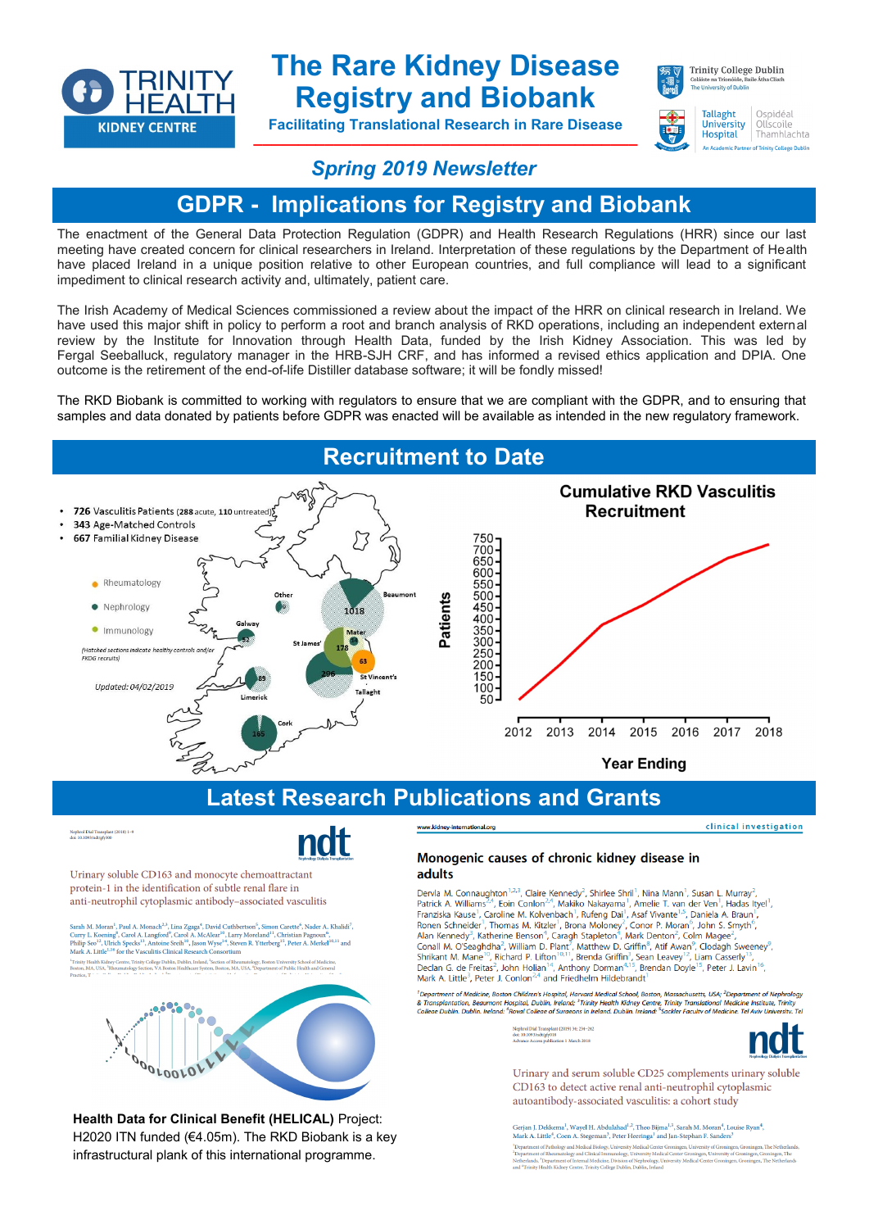

**Health Data for Clinical Benefit (HELICAL)** Project: H2020 ITN funded (€4.05m). The RKD Biobank is a key infrastructural plank of this international programme.

# **The Rare Kidney Disease Registry and Biobank**

**Facilitating Translational Research in Rare Disease \_\_\_\_\_\_\_\_\_\_\_\_\_\_\_\_\_\_\_\_\_\_\_\_\_\_\_\_\_\_\_\_\_\_\_\_\_\_\_\_\_\_\_**



**Tallaght** 

**University** Ollscoile **Hospital** Thamhlachta

Ospidéal

### *Spring 2019 Newsletter*

## **GDPR - Implications for Registry and Biobank**

The enactment of the General Data Protection Regulation (GDPR) and Health Research Regulations (HRR) since our last meeting have created concern for clinical researchers in Ireland. Interpretation of these regulations by the Department of Health have placed Ireland in a unique position relative to other European countries, and full compliance will lead to a significant impediment to clinical research activity and, ultimately, patient care.

The Irish Academy of Medical Sciences commissioned a review about the impact of the HRR on clinical research in Ireland. We have used this major shift in policy to perform a root and branch analysis of RKD operations, including an independent external review by the Institute for Innovation through Health Data, funded by the Irish Kidney Association. This was led by Fergal Seeballuck, regulatory manager in the HRB-SJH CRF, and has informed a revised ethics application and DPIA. One outcome is the retirement of the end-of-life Distiller database software; it will be fondly missed!

The RKD Biobank is committed to working with regulators to ensure that we are compliant with the GDPR, and to ensuring that samples and data donated by patients before GDPR was enacted will be available as intended in the new regulatory framework.



t<br>Penartment of Medicine, Boston Children's Hospital, Harvard Medical School, Boston, Massachusetts, USA: <sup>2</sup>Denartment of Nephrolog Legraturent or means must be applied to the property of the control of the control of the control of the control of the control of the control of the control of the control of the control of the control of the control of t Trinit

> Nephrol Dial<br>doi: 10.1093/<br>Advance Acc 11anspiant (2019) 34: 234–24<br>ndt/gfy018<br>ess publication 1 March 2018

Urinary and serum soluble CD25 complements urinary soluble CD163 to detect active renal anti-neutrophil cytoplasmic autoantibody-associated vasculitis: a cohort study

Gerjan J. Dekkema<sup>1</sup>, Wayel H. Abdulahad $^{1,2},$ Theo Bijma $^{1,3},$ Sarah M. Moran<sup>4</sup>, Louise Ryan<sup>4</sup>, Mark A. Little<sup>4</sup>, Coen A. Stegeman $^3,$ Peter Heeringa $^1$ and Jan-Stephan F. Sanders $^3$ 11 Antwich - Josen II and Medical Biology, University Medical Center Groningen, University of Groningen, The Netherla<br>neut of Pathology and Medical Biology, University Medical Center Groningen, University of Groningen, The